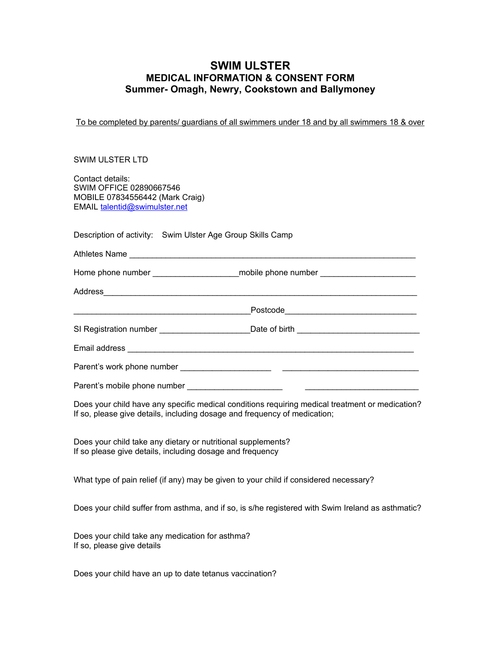## **SWIM ULSTER MEDICAL INFORMATION & CONSENT FORM Summer- Omagh, Newry, Cookstown and Ballymoney**

To be completed by parents/ guardians of all swimmers under 18 and by all swimmers 18 & over

## SWIM ULSTER LTD

Contact details: SWIM OFFICE 02890667546 MOBILE 07834556442 (Mark Craig) EMAIL [talentid@swimulster.net](mailto:talentid@swimulster.net)

Description of activity: Swim Ulster Age Group Skills Camp

|                              | Home phone number __________________________mobile phone number ________________ |  |
|------------------------------|----------------------------------------------------------------------------------|--|
| Address                      |                                                                                  |  |
|                              |                                                                                  |  |
|                              |                                                                                  |  |
|                              |                                                                                  |  |
|                              |                                                                                  |  |
| Parent's mobile phone number |                                                                                  |  |

Does your child have any specific medical conditions requiring medical treatment or medication? If so, please give details, including dosage and frequency of medication;

Does your child take any dietary or nutritional supplements? If so please give details, including dosage and frequency

What type of pain relief (if any) may be given to your child if considered necessary?

Does your child suffer from asthma, and if so, is s/he registered with Swim Ireland as asthmatic?

Does your child take any medication for asthma? If so, please give details

Does your child have an up to date tetanus vaccination?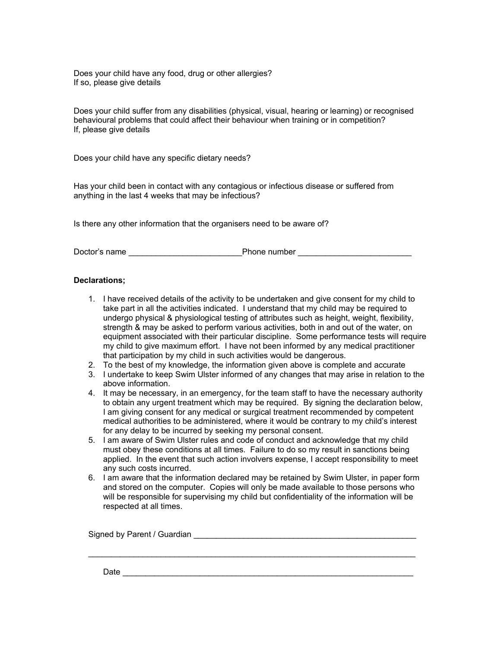Does your child have any food, drug or other allergies? If so, please give details

Does your child suffer from any disabilities (physical, visual, hearing or learning) or recognised behavioural problems that could affect their behaviour when training or in competition? If, please give details

Does your child have any specific dietary needs?

Has your child been in contact with any contagious or infectious disease or suffered from anything in the last 4 weeks that may be infectious?

Is there any other information that the organisers need to be aware of?

Doctor's name example and the phone number and the phone number  $\Box$ 

## **Declarations;**

- 1. I have received details of the activity to be undertaken and give consent for my child to take part in all the activities indicated. I understand that my child may be required to undergo physical & physiological testing of attributes such as height, weight, flexibility, strength & may be asked to perform various activities, both in and out of the water, on equipment associated with their particular discipline. Some performance tests will require my child to give maximum effort. I have not been informed by any medical practitioner that participation by my child in such activities would be dangerous.
- 2. To the best of my knowledge, the information given above is complete and accurate
- 3. I undertake to keep Swim Ulster informed of any changes that may arise in relation to the above information.
- 4. It may be necessary, in an emergency, for the team staff to have the necessary authority to obtain any urgent treatment which may be required. By signing the declaration below, I am giving consent for any medical or surgical treatment recommended by competent medical authorities to be administered, where it would be contrary to my child's interest for any delay to be incurred by seeking my personal consent.
- 5. I am aware of Swim Ulster rules and code of conduct and acknowledge that my child must obey these conditions at all times. Failure to do so my result in sanctions being applied. In the event that such action involvers expense, I accept responsibility to meet any such costs incurred.
- 6. I am aware that the information declared may be retained by Swim Ulster, in paper form and stored on the computer. Copies will only be made available to those persons who will be responsible for supervising my child but confidentiality of the information will be respected at all times.

\_\_\_\_\_\_\_\_\_\_\_\_\_\_\_\_\_\_\_\_\_\_\_\_\_\_\_\_\_\_\_\_\_\_\_\_\_\_\_\_\_\_\_\_\_\_\_\_\_\_\_\_\_\_\_\_\_\_\_\_\_\_\_\_\_\_\_\_\_\_\_\_

Signed by Parent / Guardian \_\_\_\_\_\_\_\_\_\_\_\_\_\_\_\_\_\_\_\_\_\_\_\_\_\_\_\_\_\_\_\_\_\_\_\_\_\_\_\_\_\_\_\_\_\_\_\_\_

Date \_\_\_\_\_\_\_\_\_\_\_\_\_\_\_\_\_\_\_\_\_\_\_\_\_\_\_\_\_\_\_\_\_\_\_\_\_\_\_\_\_\_\_\_\_\_\_\_\_\_\_\_\_\_\_\_\_\_\_\_\_\_\_\_